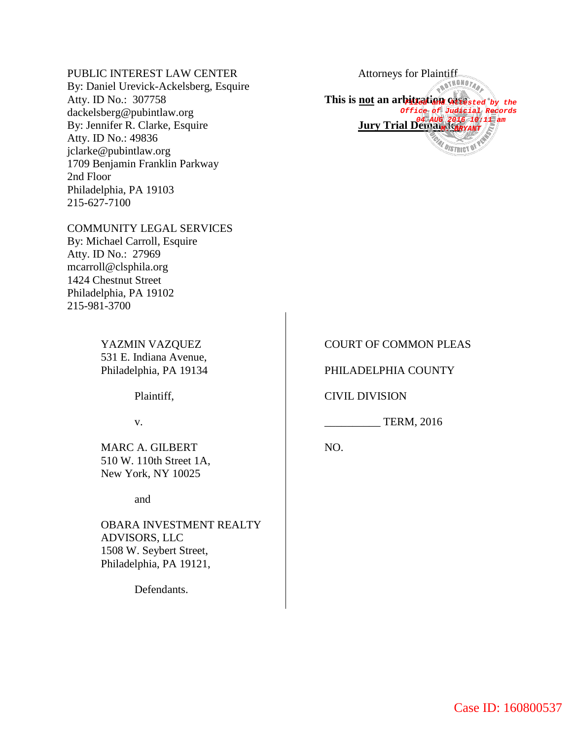## PUBLIC INTEREST LAW CENTER

By: Daniel Urevick-Ackelsberg, Esquire Atty. ID No.: 307758 dackelsberg@pubintlaw.org By: Jennifer R. Clarke, Esquire Atty. ID No.: 49836 jclarke@pubintlaw.org 1709 Benjamin Franklin Parkway 2nd Floor Philadelphia, PA 19103 215-627-7100

COMMUNITY LEGAL SERVICES By: Michael Carroll, Esquire Atty. ID No.: 27969 mcarroll@clsphila.org 1424 Chestnut Street Philadelphia, PA 19102 215-981-3700

> YAZMIN VAZQUEZ 531 E. Indiana Avenue, Philadelphia, PA 19134

> > Plaintiff,

v.

MARC A. GILBERT 510 W. 110th Street 1A, New York, NY 10025

and

OBARA INVESTMENT REALTY ADVISORS, LLC 1508 W. Seybert Street, Philadelphia, PA 19121,

Defendants.

Attorneys for Plaintiff **This is not an arbitration case Filed and Attested by the Office of Judicial Records Jury Trial Demanded 04 AUG 2016 10:11 am M. BRYANTDISTRICT OF** 

## COURT OF COMMON PLEAS

PHILADELPHIA COUNTY

CIVIL DIVISION

\_\_\_\_\_\_\_\_\_\_ TERM, 2016

NO.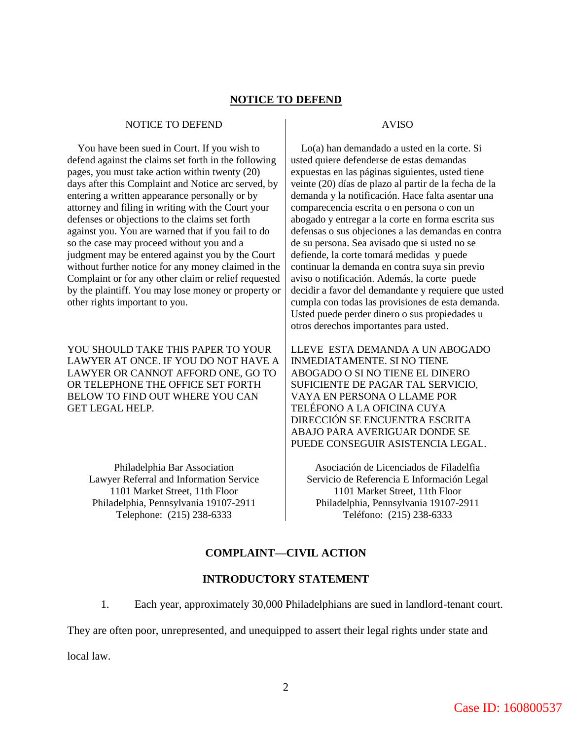### **NOTICE TO DEFEND**

#### NOTICE TO DEFEND

 You have been sued in Court. If you wish to defend against the claims set forth in the following pages, you must take action within twenty (20) days after this Complaint and Notice arc served, by entering a written appearance personally or by attorney and filing in writing with the Court your defenses or objections to the claims set forth against you. You are warned that if you fail to do so the case may proceed without you and a judgment may be entered against you by the Court without further notice for any money claimed in the Complaint or for any other claim or relief requested by the plaintiff. You may lose money or property or other rights important to you.

YOU SHOULD TAKE THIS PAPER TO YOUR LAWYER AT ONCE. IF YOU DO NOT HAVE A LAWYER OR CANNOT AFFORD ONE, GO TO OR TELEPHONE THE OFFICE SET FORTH BELOW TO FIND OUT WHERE YOU CAN GET LEGAL HELP.

> Philadelphia Bar Association Lawyer Referral and Information Service 1101 Market Street, 11th Floor Philadelphia, Pennsylvania 19107-2911 Telephone: (215) 238-6333

### AVISO

 Lo(a) han demandado a usted en la corte. Si usted quiere defenderse de estas demandas expuestas en las páginas siguientes, usted tiene veinte (20) días de plazo al partir de la fecha de la demanda y la notificación. Hace falta asentar una comparecencia escrita o en persona o con un abogado y entregar a la corte en forma escrita sus defensas o sus objeciones a las demandas en contra de su persona. Sea avisado que si usted no se defiende, la corte tomará medidas y puede continuar la demanda en contra suya sin previo aviso o notificación. Además, la corte puede decidir a favor del demandante y requiere que usted cumpla con todas las provisiones de esta demanda. Usted puede perder dinero o sus propiedades u otros derechos importantes para usted.

LLEVE ESTA DEMANDA A UN ABOGADO INMEDIATAMENTE. SI NO TIENE ABOGADO O SI NO TIENE EL DINERO SUFICIENTE DE PAGAR TAL SERVICIO, VAYA EN PERSONA O LLAME POR TELÉFONO A LA OFICINA CUYA DIRECCIÓN SE ENCUENTRA ESCRITA ABAJO PARA AVERIGUAR DONDE SE PUEDE CONSEGUIR ASISTENCIA LEGAL.

Asociación de Licenciados de Filadelfia Servicio de Referencia E Información Legal 1101 Market Street, 11th Floor Philadelphia, Pennsylvania 19107-2911 Teléfono: (215) 238-6333

## **COMPLAINT—CIVIL ACTION**

### **INTRODUCTORY STATEMENT**

1. Each year, approximately 30,000 Philadelphians are sued in landlord-tenant court.

They are often poor, unrepresented, and unequipped to assert their legal rights under state and

local law.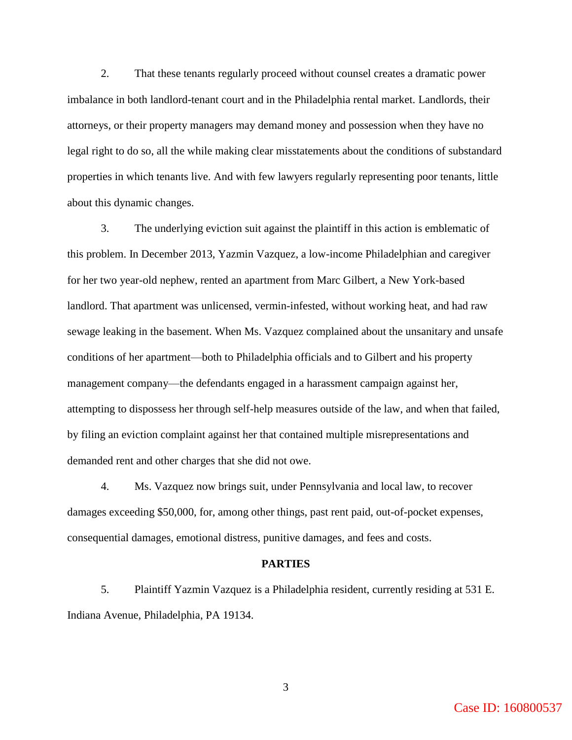2. That these tenants regularly proceed without counsel creates a dramatic power imbalance in both landlord-tenant court and in the Philadelphia rental market. Landlords, their attorneys, or their property managers may demand money and possession when they have no legal right to do so, all the while making clear misstatements about the conditions of substandard properties in which tenants live. And with few lawyers regularly representing poor tenants, little about this dynamic changes.

3. The underlying eviction suit against the plaintiff in this action is emblematic of this problem. In December 2013, Yazmin Vazquez, a low-income Philadelphian and caregiver for her two year-old nephew, rented an apartment from Marc Gilbert, a New York-based landlord. That apartment was unlicensed, vermin-infested, without working heat, and had raw sewage leaking in the basement. When Ms. Vazquez complained about the unsanitary and unsafe conditions of her apartment—both to Philadelphia officials and to Gilbert and his property management company—the defendants engaged in a harassment campaign against her, attempting to dispossess her through self-help measures outside of the law, and when that failed, by filing an eviction complaint against her that contained multiple misrepresentations and demanded rent and other charges that she did not owe.

4. Ms. Vazquez now brings suit, under Pennsylvania and local law, to recover damages exceeding \$50,000, for, among other things, past rent paid, out-of-pocket expenses, consequential damages, emotional distress, punitive damages, and fees and costs.

#### **PARTIES**

5. Plaintiff Yazmin Vazquez is a Philadelphia resident, currently residing at 531 E. Indiana Avenue, Philadelphia, PA 19134.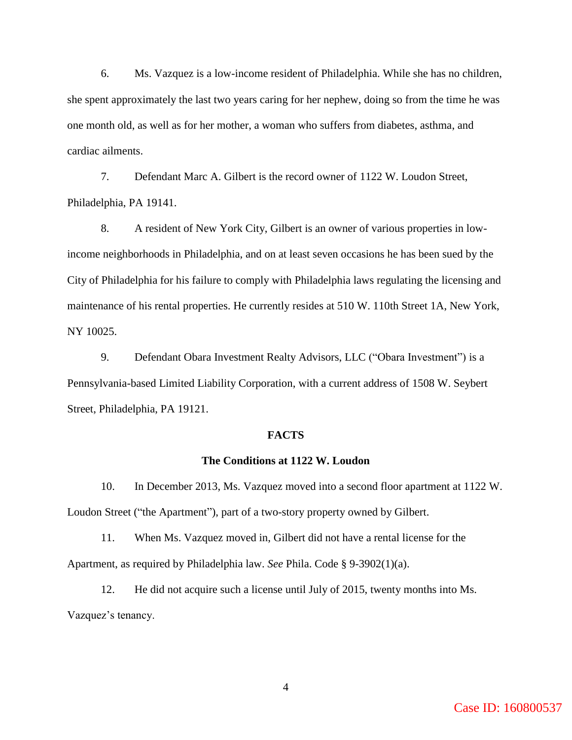6. Ms. Vazquez is a low-income resident of Philadelphia. While she has no children, she spent approximately the last two years caring for her nephew, doing so from the time he was one month old, as well as for her mother, a woman who suffers from diabetes, asthma, and cardiac ailments.

7. Defendant Marc A. Gilbert is the record owner of 1122 W. Loudon Street, Philadelphia, PA 19141.

8. A resident of New York City, Gilbert is an owner of various properties in lowincome neighborhoods in Philadelphia, and on at least seven occasions he has been sued by the City of Philadelphia for his failure to comply with Philadelphia laws regulating the licensing and maintenance of his rental properties. He currently resides at 510 W. 110th Street 1A, New York, NY 10025.

9. Defendant Obara Investment Realty Advisors, LLC ("Obara Investment") is a Pennsylvania-based Limited Liability Corporation, with a current address of 1508 W. Seybert Street, Philadelphia, PA 19121.

#### **FACTS**

#### **The Conditions at 1122 W. Loudon**

10. In December 2013, Ms. Vazquez moved into a second floor apartment at 1122 W. Loudon Street ("the Apartment"), part of a two-story property owned by Gilbert.

11. When Ms. Vazquez moved in, Gilbert did not have a rental license for the Apartment, as required by Philadelphia law. *See* Phila. Code § 9-3902(1)(a).

12. He did not acquire such a license until July of 2015, twenty months into Ms. Vazquez's tenancy.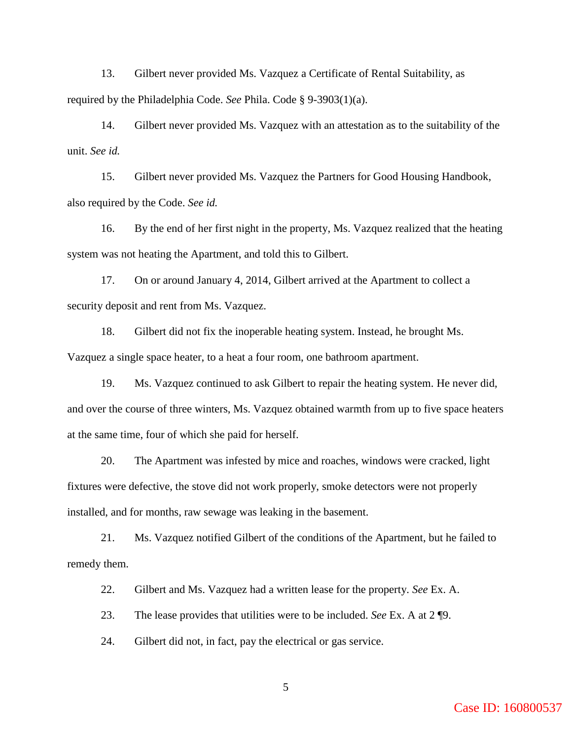13. Gilbert never provided Ms. Vazquez a Certificate of Rental Suitability, as required by the Philadelphia Code. *See* Phila. Code § 9-3903(1)(a).

14. Gilbert never provided Ms. Vazquez with an attestation as to the suitability of the unit. *See id.*

15. Gilbert never provided Ms. Vazquez the Partners for Good Housing Handbook, also required by the Code. *See id.*

16. By the end of her first night in the property, Ms. Vazquez realized that the heating system was not heating the Apartment, and told this to Gilbert.

17. On or around January 4, 2014, Gilbert arrived at the Apartment to collect a security deposit and rent from Ms. Vazquez.

18. Gilbert did not fix the inoperable heating system. Instead, he brought Ms. Vazquez a single space heater, to a heat a four room, one bathroom apartment.

19. Ms. Vazquez continued to ask Gilbert to repair the heating system. He never did, and over the course of three winters, Ms. Vazquez obtained warmth from up to five space heaters at the same time, four of which she paid for herself.

20. The Apartment was infested by mice and roaches, windows were cracked, light fixtures were defective, the stove did not work properly, smoke detectors were not properly installed, and for months, raw sewage was leaking in the basement.

21. Ms. Vazquez notified Gilbert of the conditions of the Apartment, but he failed to remedy them.

22. Gilbert and Ms. Vazquez had a written lease for the property. *See* Ex. A.

23. The lease provides that utilities were to be included. *See* Ex. A at 2 ¶9.

24. Gilbert did not, in fact, pay the electrical or gas service.

Case ID: 160800537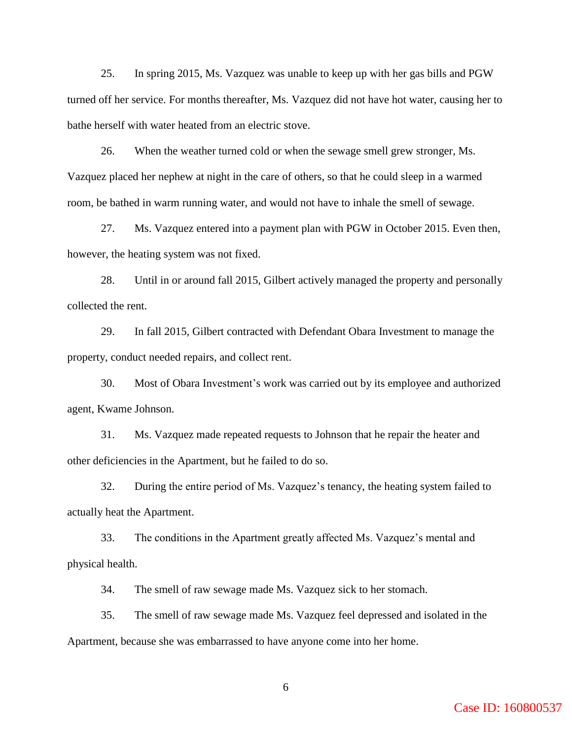25. In spring 2015, Ms. Vazquez was unable to keep up with her gas bills and PGW turned off her service. For months thereafter, Ms. Vazquez did not have hot water, causing her to bathe herself with water heated from an electric stove.

26. When the weather turned cold or when the sewage smell grew stronger, Ms. Vazquez placed her nephew at night in the care of others, so that he could sleep in a warmed room, be bathed in warm running water, and would not have to inhale the smell of sewage.

27. Ms. Vazquez entered into a payment plan with PGW in October 2015. Even then, however, the heating system was not fixed.

28. Until in or around fall 2015, Gilbert actively managed the property and personally collected the rent.

29. In fall 2015, Gilbert contracted with Defendant Obara Investment to manage the property, conduct needed repairs, and collect rent.

30. Most of Obara Investment's work was carried out by its employee and authorized agent, Kwame Johnson.

31. Ms. Vazquez made repeated requests to Johnson that he repair the heater and other deficiencies in the Apartment, but he failed to do so.

32. During the entire period of Ms. Vazquez's tenancy, the heating system failed to actually heat the Apartment.

33. The conditions in the Apartment greatly affected Ms. Vazquez's mental and physical health.

34. The smell of raw sewage made Ms. Vazquez sick to her stomach.

35. The smell of raw sewage made Ms. Vazquez feel depressed and isolated in the Apartment, because she was embarrassed to have anyone come into her home.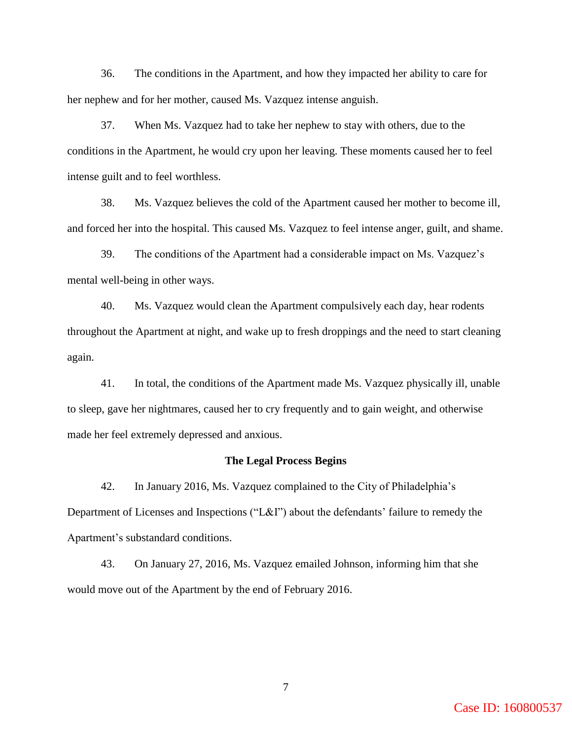36. The conditions in the Apartment, and how they impacted her ability to care for her nephew and for her mother, caused Ms. Vazquez intense anguish.

37. When Ms. Vazquez had to take her nephew to stay with others, due to the conditions in the Apartment, he would cry upon her leaving. These moments caused her to feel intense guilt and to feel worthless.

38. Ms. Vazquez believes the cold of the Apartment caused her mother to become ill, and forced her into the hospital. This caused Ms. Vazquez to feel intense anger, guilt, and shame.

39. The conditions of the Apartment had a considerable impact on Ms. Vazquez's mental well-being in other ways.

40. Ms. Vazquez would clean the Apartment compulsively each day, hear rodents throughout the Apartment at night, and wake up to fresh droppings and the need to start cleaning again.

41. In total, the conditions of the Apartment made Ms. Vazquez physically ill, unable to sleep, gave her nightmares, caused her to cry frequently and to gain weight, and otherwise made her feel extremely depressed and anxious.

### **The Legal Process Begins**

42. In January 2016, Ms. Vazquez complained to the City of Philadelphia's Department of Licenses and Inspections ("L&I") about the defendants' failure to remedy the Apartment's substandard conditions.

43. On January 27, 2016, Ms. Vazquez emailed Johnson, informing him that she would move out of the Apartment by the end of February 2016.

Case ID: 160800537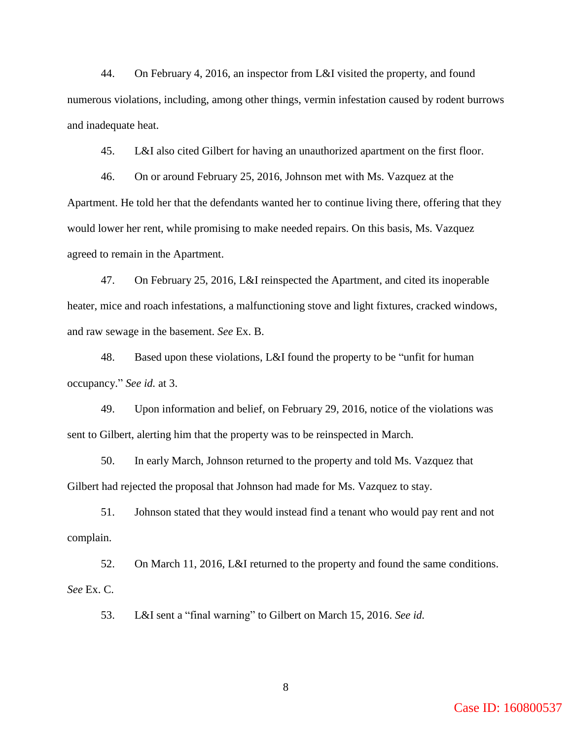44. On February 4, 2016, an inspector from L&I visited the property, and found numerous violations, including, among other things, vermin infestation caused by rodent burrows and inadequate heat.

45. L&I also cited Gilbert for having an unauthorized apartment on the first floor.

46. On or around February 25, 2016, Johnson met with Ms. Vazquez at the Apartment. He told her that the defendants wanted her to continue living there, offering that they would lower her rent, while promising to make needed repairs. On this basis, Ms. Vazquez agreed to remain in the Apartment.

47. On February 25, 2016, L&I reinspected the Apartment, and cited its inoperable heater, mice and roach infestations, a malfunctioning stove and light fixtures, cracked windows, and raw sewage in the basement. *See* Ex. B.

48. Based upon these violations, L&I found the property to be "unfit for human occupancy." *See id.* at 3.

49. Upon information and belief, on February 29, 2016, notice of the violations was sent to Gilbert, alerting him that the property was to be reinspected in March.

50. In early March, Johnson returned to the property and told Ms. Vazquez that Gilbert had rejected the proposal that Johnson had made for Ms. Vazquez to stay.

51. Johnson stated that they would instead find a tenant who would pay rent and not complain.

52. On March 11, 2016, L&I returned to the property and found the same conditions. *See* Ex. C.

53. L&I sent a "final warning" to Gilbert on March 15, 2016. *See id.*

Case ID: 160800537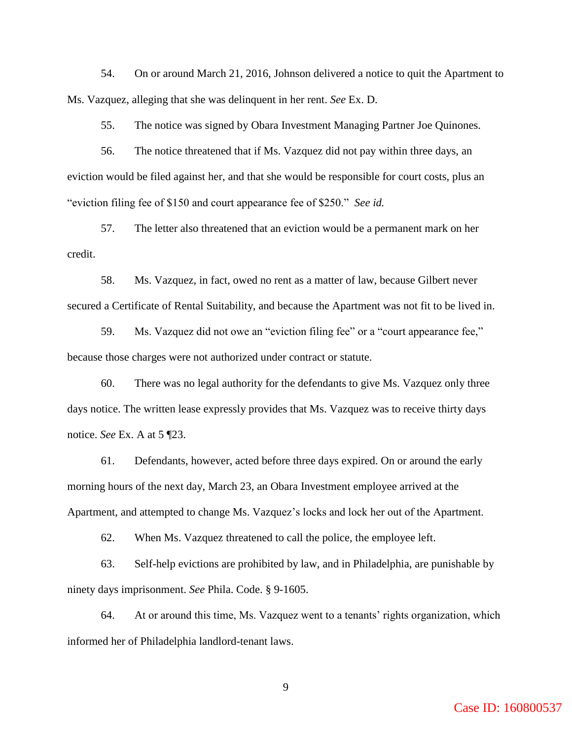54. On or around March 21, 2016, Johnson delivered a notice to quit the Apartment to Ms. Vazquez, alleging that she was delinquent in her rent. *See* Ex. D.

55. The notice was signed by Obara Investment Managing Partner Joe Quinones.

56. The notice threatened that if Ms. Vazquez did not pay within three days, an eviction would be filed against her, and that she would be responsible for court costs, plus an "eviction filing fee of \$150 and court appearance fee of \$250." *See id.*

57. The letter also threatened that an eviction would be a permanent mark on her credit.

58. Ms. Vazquez, in fact, owed no rent as a matter of law, because Gilbert never secured a Certificate of Rental Suitability, and because the Apartment was not fit to be lived in.

59. Ms. Vazquez did not owe an "eviction filing fee" or a "court appearance fee," because those charges were not authorized under contract or statute.

60. There was no legal authority for the defendants to give Ms. Vazquez only three days notice. The written lease expressly provides that Ms. Vazquez was to receive thirty days notice. *See* Ex. A at 5 ¶23.

61. Defendants, however, acted before three days expired. On or around the early morning hours of the next day, March 23, an Obara Investment employee arrived at the Apartment, and attempted to change Ms. Vazquez's locks and lock her out of the Apartment.

62. When Ms. Vazquez threatened to call the police, the employee left.

63. Self-help evictions are prohibited by law, and in Philadelphia, are punishable by ninety days imprisonment. *See* Phila. Code. § 9-1605.

64. At or around this time, Ms. Vazquez went to a tenants' rights organization, which informed her of Philadelphia landlord-tenant laws.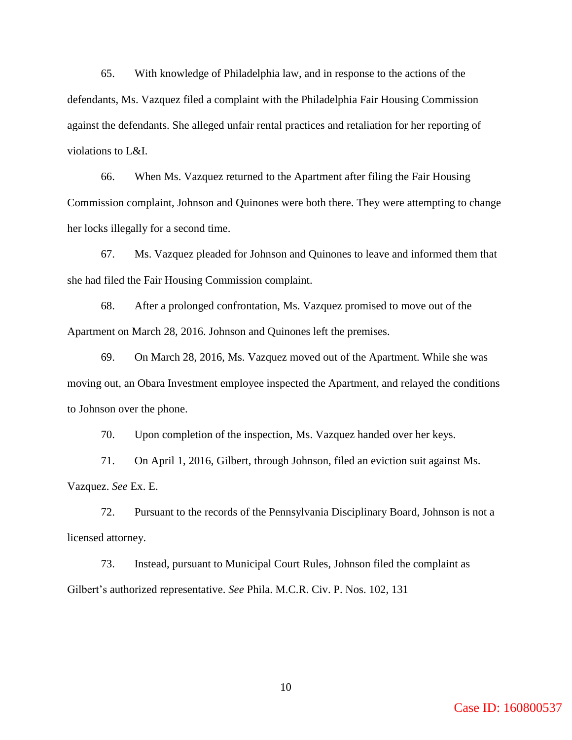65. With knowledge of Philadelphia law, and in response to the actions of the defendants, Ms. Vazquez filed a complaint with the Philadelphia Fair Housing Commission against the defendants. She alleged unfair rental practices and retaliation for her reporting of violations to L&I.

66. When Ms. Vazquez returned to the Apartment after filing the Fair Housing Commission complaint, Johnson and Quinones were both there. They were attempting to change her locks illegally for a second time.

67. Ms. Vazquez pleaded for Johnson and Quinones to leave and informed them that she had filed the Fair Housing Commission complaint.

68. After a prolonged confrontation, Ms. Vazquez promised to move out of the Apartment on March 28, 2016. Johnson and Quinones left the premises.

69. On March 28, 2016, Ms. Vazquez moved out of the Apartment. While she was moving out, an Obara Investment employee inspected the Apartment, and relayed the conditions to Johnson over the phone.

70. Upon completion of the inspection, Ms. Vazquez handed over her keys.

71. On April 1, 2016, Gilbert, through Johnson, filed an eviction suit against Ms. Vazquez. *See* Ex. E.

72. Pursuant to the records of the Pennsylvania Disciplinary Board, Johnson is not a licensed attorney.

73. Instead, pursuant to Municipal Court Rules, Johnson filed the complaint as Gilbert's authorized representative. *See* Phila. M.C.R. Civ. P. Nos. 102, 131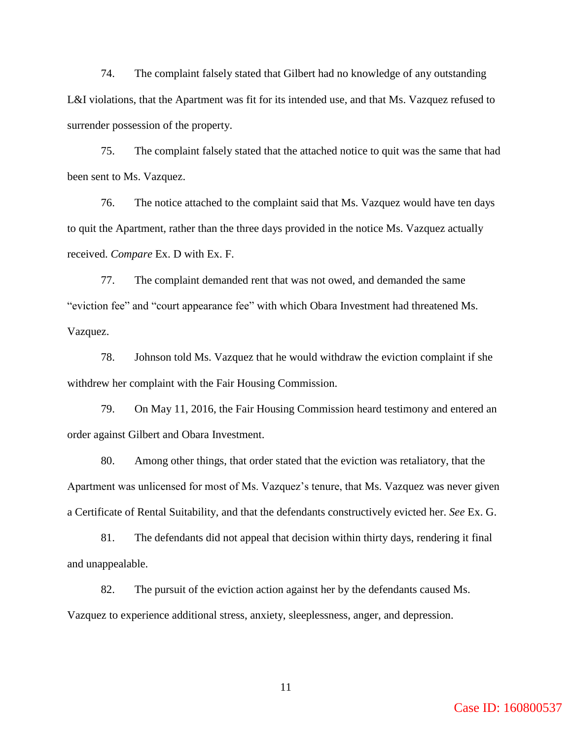74. The complaint falsely stated that Gilbert had no knowledge of any outstanding L&I violations, that the Apartment was fit for its intended use, and that Ms. Vazquez refused to surrender possession of the property.

75. The complaint falsely stated that the attached notice to quit was the same that had been sent to Ms. Vazquez.

76. The notice attached to the complaint said that Ms. Vazquez would have ten days to quit the Apartment, rather than the three days provided in the notice Ms. Vazquez actually received. *Compare* Ex. D with Ex. F.

77. The complaint demanded rent that was not owed, and demanded the same "eviction fee" and "court appearance fee" with which Obara Investment had threatened Ms. Vazquez.

78. Johnson told Ms. Vazquez that he would withdraw the eviction complaint if she withdrew her complaint with the Fair Housing Commission.

79. On May 11, 2016, the Fair Housing Commission heard testimony and entered an order against Gilbert and Obara Investment.

80. Among other things, that order stated that the eviction was retaliatory, that the Apartment was unlicensed for most of Ms. Vazquez's tenure, that Ms. Vazquez was never given a Certificate of Rental Suitability, and that the defendants constructively evicted her. *See* Ex. G.

81. The defendants did not appeal that decision within thirty days, rendering it final and unappealable.

82. The pursuit of the eviction action against her by the defendants caused Ms. Vazquez to experience additional stress, anxiety, sleeplessness, anger, and depression.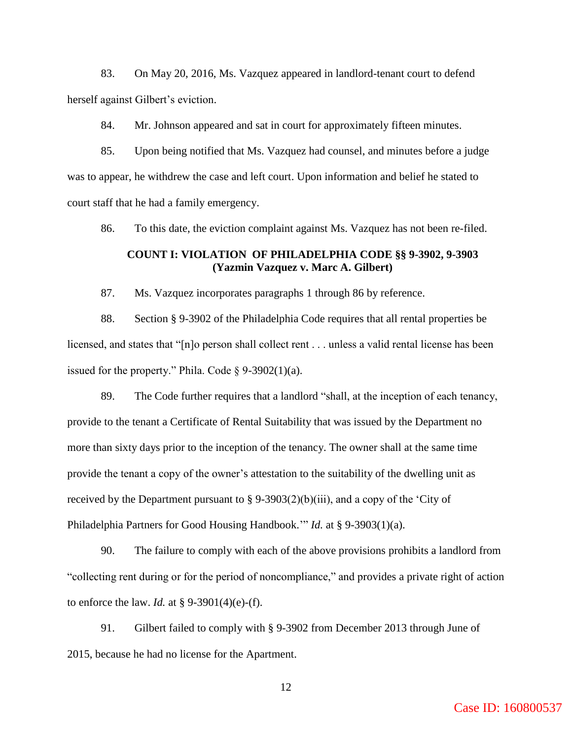83. On May 20, 2016, Ms. Vazquez appeared in landlord-tenant court to defend herself against Gilbert's eviction.

84. Mr. Johnson appeared and sat in court for approximately fifteen minutes.

85. Upon being notified that Ms. Vazquez had counsel, and minutes before a judge was to appear, he withdrew the case and left court. Upon information and belief he stated to court staff that he had a family emergency.

86. To this date, the eviction complaint against Ms. Vazquez has not been re-filed.

## **COUNT I: VIOLATION OF PHILADELPHIA CODE §§ 9-3902, 9-3903 (Yazmin Vazquez v. Marc A. Gilbert)**

87. Ms. Vazquez incorporates paragraphs 1 through 86 by reference.

88. Section § 9-3902 of the Philadelphia Code requires that all rental properties be licensed, and states that "[n]o person shall collect rent . . . unless a valid rental license has been issued for the property." Phila. Code  $\S$  9-3902(1)(a).

89. The Code further requires that a landlord "shall, at the inception of each tenancy, provide to the tenant a Certificate of Rental Suitability that was issued by the Department no more than sixty days prior to the inception of the tenancy. The owner shall at the same time provide the tenant a copy of the owner's attestation to the suitability of the dwelling unit as received by the Department pursuant to  $\S 9-3903(2)(b)(iii)$ , and a copy of the 'City of Philadelphia Partners for Good Housing Handbook.'" *Id.* at § 9-3903(1)(a).

90. The failure to comply with each of the above provisions prohibits a landlord from "collecting rent during or for the period of noncompliance," and provides a private right of action to enforce the law. *Id.* at § 9-3901(4)(e)-(f).

91. Gilbert failed to comply with § 9-3902 from December 2013 through June of 2015, because he had no license for the Apartment.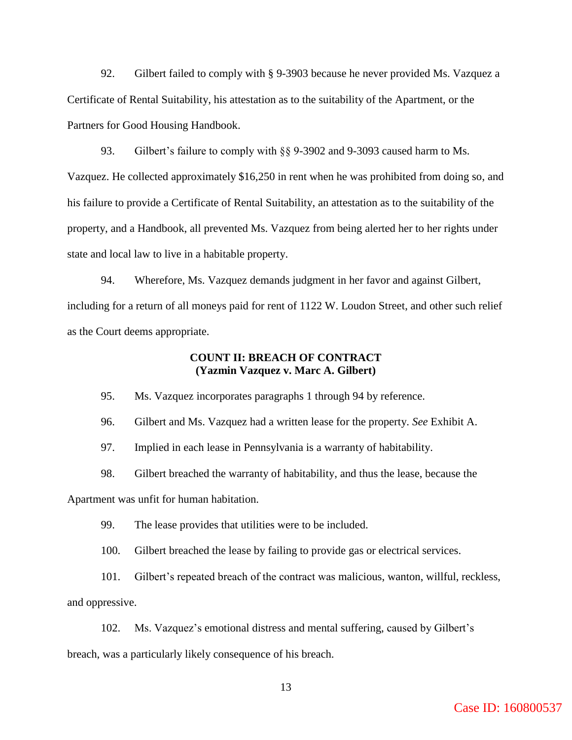92. Gilbert failed to comply with § 9-3903 because he never provided Ms. Vazquez a Certificate of Rental Suitability, his attestation as to the suitability of the Apartment, or the Partners for Good Housing Handbook.

93. Gilbert's failure to comply with §§ 9-3902 and 9-3093 caused harm to Ms. Vazquez. He collected approximately \$16,250 in rent when he was prohibited from doing so, and his failure to provide a Certificate of Rental Suitability, an attestation as to the suitability of the property, and a Handbook, all prevented Ms. Vazquez from being alerted her to her rights under state and local law to live in a habitable property.

94. Wherefore, Ms. Vazquez demands judgment in her favor and against Gilbert, including for a return of all moneys paid for rent of 1122 W. Loudon Street, and other such relief as the Court deems appropriate.

# **COUNT II: BREACH OF CONTRACT (Yazmin Vazquez v. Marc A. Gilbert)**

95. Ms. Vazquez incorporates paragraphs 1 through 94 by reference.

96. Gilbert and Ms. Vazquez had a written lease for the property. *See* Exhibit A.

97. Implied in each lease in Pennsylvania is a warranty of habitability.

98. Gilbert breached the warranty of habitability, and thus the lease, because the

Apartment was unfit for human habitation.

99. The lease provides that utilities were to be included.

100. Gilbert breached the lease by failing to provide gas or electrical services.

101. Gilbert's repeated breach of the contract was malicious, wanton, willful, reckless, and oppressive.

102. Ms. Vazquez's emotional distress and mental suffering, caused by Gilbert's breach, was a particularly likely consequence of his breach.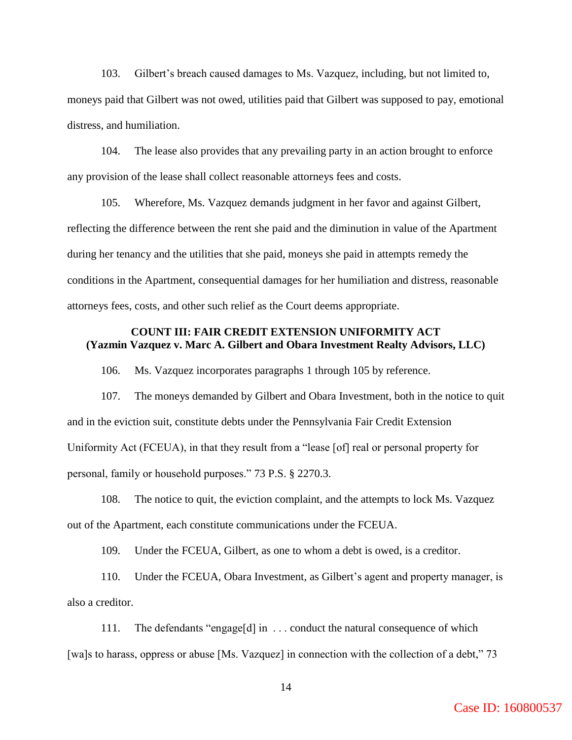103. Gilbert's breach caused damages to Ms. Vazquez, including, but not limited to, moneys paid that Gilbert was not owed, utilities paid that Gilbert was supposed to pay, emotional distress, and humiliation.

104. The lease also provides that any prevailing party in an action brought to enforce any provision of the lease shall collect reasonable attorneys fees and costs.

105. Wherefore, Ms. Vazquez demands judgment in her favor and against Gilbert, reflecting the difference between the rent she paid and the diminution in value of the Apartment during her tenancy and the utilities that she paid, moneys she paid in attempts remedy the conditions in the Apartment, consequential damages for her humiliation and distress, reasonable attorneys fees, costs, and other such relief as the Court deems appropriate.

# **COUNT III: FAIR CREDIT EXTENSION UNIFORMITY ACT (Yazmin Vazquez v. Marc A. Gilbert and Obara Investment Realty Advisors, LLC)**

106. Ms. Vazquez incorporates paragraphs 1 through 105 by reference.

107. The moneys demanded by Gilbert and Obara Investment, both in the notice to quit and in the eviction suit, constitute debts under the Pennsylvania Fair Credit Extension Uniformity Act (FCEUA), in that they result from a "lease [of] real or personal property for personal, family or household purposes." 73 P.S. § 2270.3.

108. The notice to quit, the eviction complaint, and the attempts to lock Ms. Vazquez out of the Apartment, each constitute communications under the FCEUA.

109. Under the FCEUA, Gilbert, as one to whom a debt is owed, is a creditor.

110. Under the FCEUA, Obara Investment, as Gilbert's agent and property manager, is also a creditor.

111. The defendants "engage[d] in . . . conduct the natural consequence of which [wa]s to harass, oppress or abuse [Ms. Vazquez] in connection with the collection of a debt," 73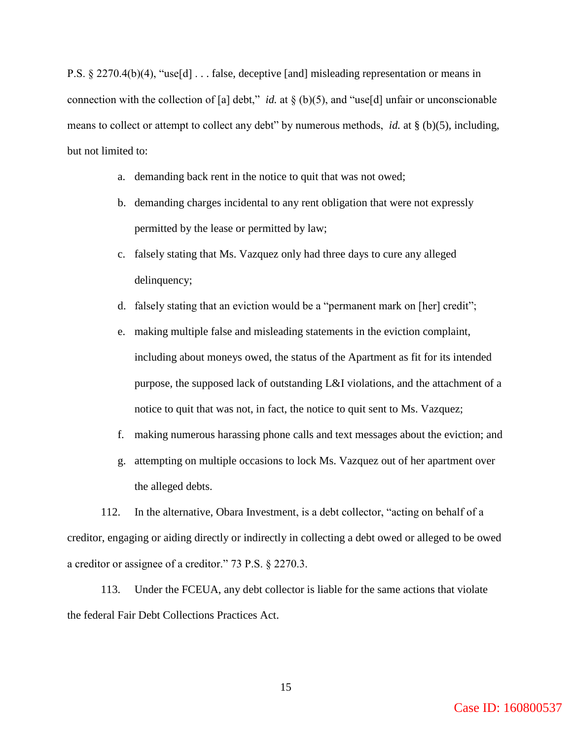P.S. § 2270.4(b)(4), "use[d] . . . false, deceptive [and] misleading representation or means in connection with the collection of [a] debt," *id.* at § (b)(5), and "use[d] unfair or unconscionable means to collect or attempt to collect any debt" by numerous methods, *id.* at § (b)(5), including, but not limited to:

- a. demanding back rent in the notice to quit that was not owed;
- b. demanding charges incidental to any rent obligation that were not expressly permitted by the lease or permitted by law;
- c. falsely stating that Ms. Vazquez only had three days to cure any alleged delinquency;
- d. falsely stating that an eviction would be a "permanent mark on [her] credit";
- e. making multiple false and misleading statements in the eviction complaint, including about moneys owed, the status of the Apartment as fit for its intended purpose, the supposed lack of outstanding L&I violations, and the attachment of a notice to quit that was not, in fact, the notice to quit sent to Ms. Vazquez;
- f. making numerous harassing phone calls and text messages about the eviction; and
- g. attempting on multiple occasions to lock Ms. Vazquez out of her apartment over the alleged debts.

112. In the alternative, Obara Investment, is a debt collector, "acting on behalf of a creditor, engaging or aiding directly or indirectly in collecting a debt owed or alleged to be owed a creditor or assignee of a creditor." 73 P.S. § 2270.3.

113. Under the FCEUA, any debt collector is liable for the same actions that violate the federal Fair Debt Collections Practices Act.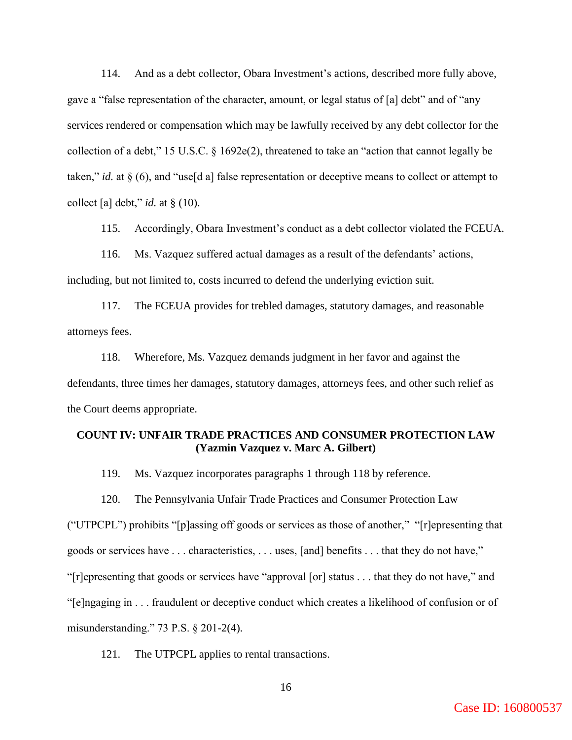114. And as a debt collector, Obara Investment's actions, described more fully above, gave a "false representation of the character, amount, or legal status of [a] debt" and of "any services rendered or compensation which may be lawfully received by any debt collector for the collection of a debt," 15 U.S.C. § 1692e(2), threatened to take an "action that cannot legally be taken," *id.* at § (6), and "use[d a] false representation or deceptive means to collect or attempt to collect [a] debt," *id.* at § (10).

115. Accordingly, Obara Investment's conduct as a debt collector violated the FCEUA.

116. Ms. Vazquez suffered actual damages as a result of the defendants' actions, including, but not limited to, costs incurred to defend the underlying eviction suit.

117. The FCEUA provides for trebled damages, statutory damages, and reasonable attorneys fees.

118. Wherefore, Ms. Vazquez demands judgment in her favor and against the defendants, three times her damages, statutory damages, attorneys fees, and other such relief as the Court deems appropriate.

# **COUNT IV: UNFAIR TRADE PRACTICES AND CONSUMER PROTECTION LAW (Yazmin Vazquez v. Marc A. Gilbert)**

119. Ms. Vazquez incorporates paragraphs 1 through 118 by reference.

120. The Pennsylvania Unfair Trade Practices and Consumer Protection Law ("UTPCPL") prohibits "[p]assing off goods or services as those of another," "[r]epresenting that goods or services have . . . characteristics, . . . uses, [and] benefits . . . that they do not have," "[r]epresenting that goods or services have "approval [or] status . . . that they do not have," and "[e]ngaging in . . . fraudulent or deceptive conduct which creates a likelihood of confusion or of misunderstanding." 73 P.S. § 201-2(4).

121. The UTPCPL applies to rental transactions.

Case ID: 160800537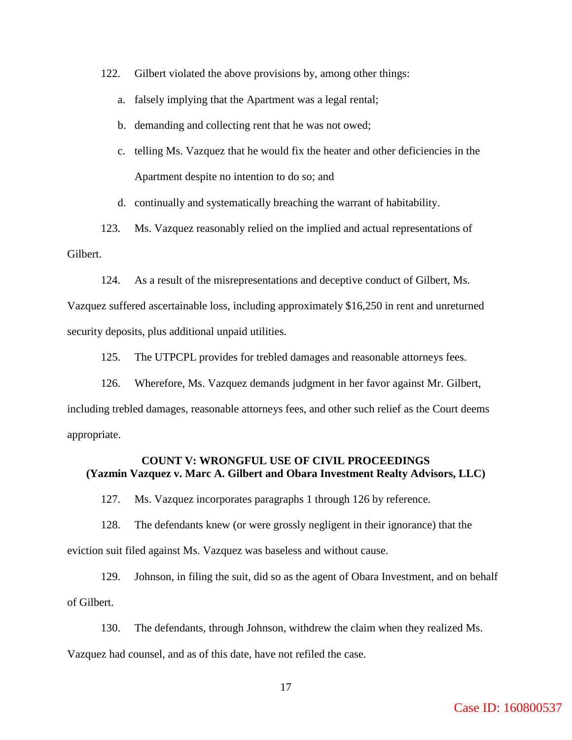122. Gilbert violated the above provisions by, among other things:

- a. falsely implying that the Apartment was a legal rental;
- b. demanding and collecting rent that he was not owed;
- c. telling Ms. Vazquez that he would fix the heater and other deficiencies in the Apartment despite no intention to do so; and

d. continually and systematically breaching the warrant of habitability.

123. Ms. Vazquez reasonably relied on the implied and actual representations of Gilbert.

124. As a result of the misrepresentations and deceptive conduct of Gilbert, Ms.

Vazquez suffered ascertainable loss, including approximately \$16,250 in rent and unreturned security deposits, plus additional unpaid utilities.

125. The UTPCPL provides for trebled damages and reasonable attorneys fees.

126. Wherefore, Ms. Vazquez demands judgment in her favor against Mr. Gilbert,

including trebled damages, reasonable attorneys fees, and other such relief as the Court deems appropriate.

# **COUNT V: WRONGFUL USE OF CIVIL PROCEEDINGS (Yazmin Vazquez v. Marc A. Gilbert and Obara Investment Realty Advisors, LLC)**

127. Ms. Vazquez incorporates paragraphs 1 through 126 by reference.

128. The defendants knew (or were grossly negligent in their ignorance) that the eviction suit filed against Ms. Vazquez was baseless and without cause.

129. Johnson, in filing the suit, did so as the agent of Obara Investment, and on behalf of Gilbert.

130. The defendants, through Johnson, withdrew the claim when they realized Ms. Vazquez had counsel, and as of this date, have not refiled the case.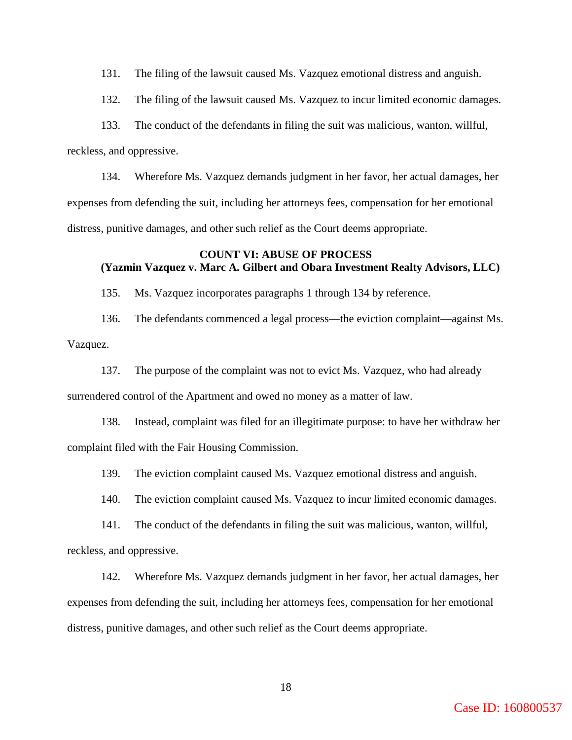131. The filing of the lawsuit caused Ms. Vazquez emotional distress and anguish.

132. The filing of the lawsuit caused Ms. Vazquez to incur limited economic damages.

133. The conduct of the defendants in filing the suit was malicious, wanton, willful, reckless, and oppressive.

134. Wherefore Ms. Vazquez demands judgment in her favor, her actual damages, her expenses from defending the suit, including her attorneys fees, compensation for her emotional distress, punitive damages, and other such relief as the Court deems appropriate.

# **COUNT VI: ABUSE OF PROCESS (Yazmin Vazquez v. Marc A. Gilbert and Obara Investment Realty Advisors, LLC)**

135. Ms. Vazquez incorporates paragraphs 1 through 134 by reference.

136. The defendants commenced a legal process—the eviction complaint—against Ms. Vazquez.

137. The purpose of the complaint was not to evict Ms. Vazquez, who had already surrendered control of the Apartment and owed no money as a matter of law.

138. Instead, complaint was filed for an illegitimate purpose: to have her withdraw her complaint filed with the Fair Housing Commission.

139. The eviction complaint caused Ms. Vazquez emotional distress and anguish.

140. The eviction complaint caused Ms. Vazquez to incur limited economic damages.

141. The conduct of the defendants in filing the suit was malicious, wanton, willful, reckless, and oppressive.

142. Wherefore Ms. Vazquez demands judgment in her favor, her actual damages, her expenses from defending the suit, including her attorneys fees, compensation for her emotional distress, punitive damages, and other such relief as the Court deems appropriate.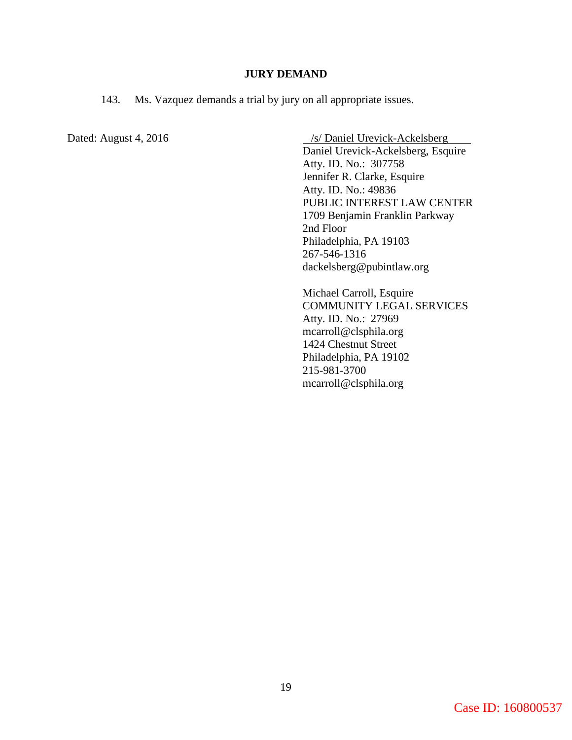### **JURY DEMAND**

143. Ms. Vazquez demands a trial by jury on all appropriate issues.

Dated: August 4, 2016 /s/ Daniel Urevick-Ackelsberg

Daniel Urevick-Ackelsberg, Esquire Atty. ID. No.: 307758 Jennifer R. Clarke, Esquire Atty. ID. No.: 49836 PUBLIC INTEREST LAW CENTER 1709 Benjamin Franklin Parkway 2nd Floor Philadelphia, PA 19103 267-546-1316 dackelsberg@pubintlaw.org

Michael Carroll, Esquire COMMUNITY LEGAL SERVICES Atty. ID. No.: 27969 mcarroll@clsphila.org 1424 Chestnut Street Philadelphia, PA 19102 215-981-3700 mcarroll@clsphila.org